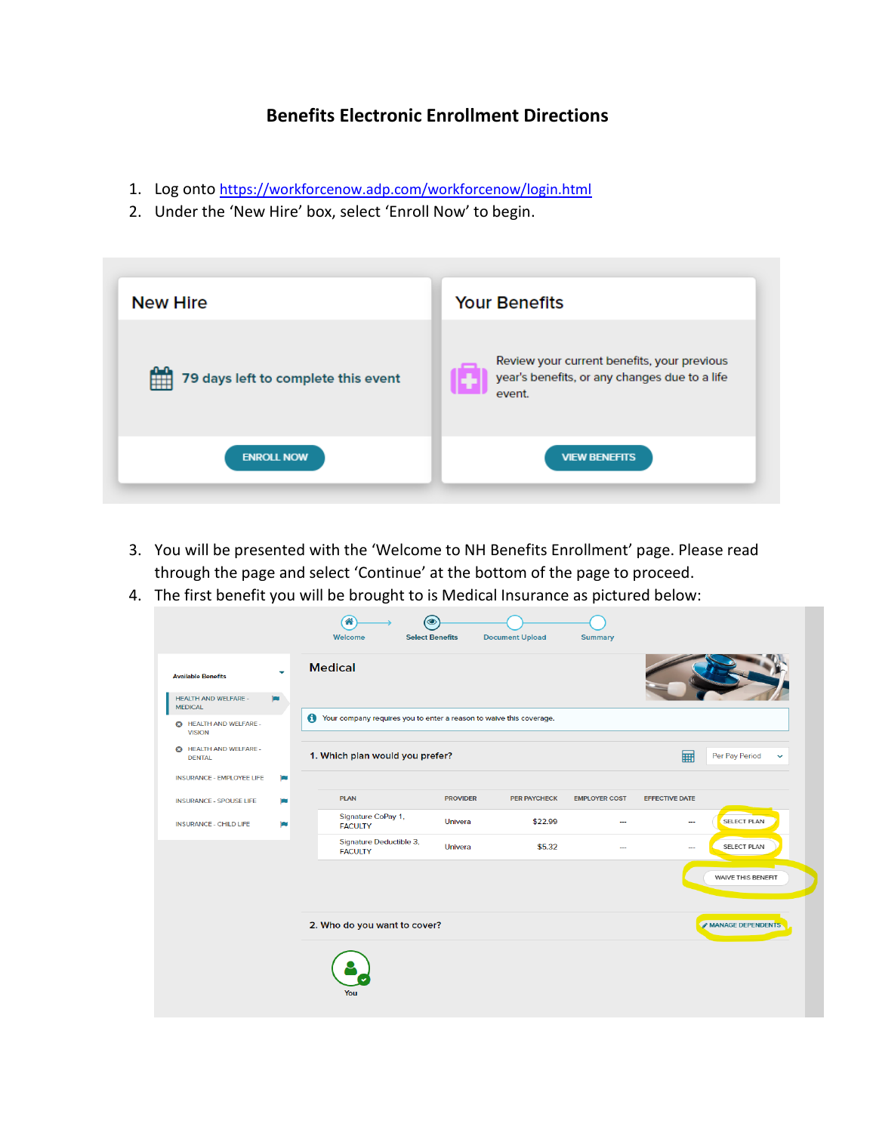## **Benefits Electronic Enrollment Directions**

- 1. Log onto <https://workforcenow.adp.com/workforcenow/login.html>
- 2. Under the 'New Hire' box, select 'Enroll Now' to begin.



- 3. You will be presented with the 'Welcome to NH Benefits Enrollment' page. Please read through the page and select 'Continue' at the bottom of the page to proceed.
- 4. The first benefit you will be brought to is Medical Insurance as pictured below:

| <b>Available Benefits</b>                      | ٠   | <b>Medical</b>                                                      |                 |                     |                      |                          |                                |
|------------------------------------------------|-----|---------------------------------------------------------------------|-----------------|---------------------|----------------------|--------------------------|--------------------------------|
| <b>HEALTH AND WELFARE -</b><br><b>MEDICAL</b>  | jay |                                                                     |                 |                     |                      |                          |                                |
| <b>6</b> HEALTH AND WELFARE -<br><b>VISION</b> | Ô   | Your company requires you to enter a reason to waive this coverage. |                 |                     |                      |                          |                                |
| <b>6</b> HEALTH AND WELFARE -<br><b>DENTAL</b> |     | 1. Which plan would you prefer?                                     |                 |                     |                      | ⊞                        | Per Pay Period<br>$\checkmark$ |
| <b>INSURANCE - EMPLOYEE LIFE</b>               | ю   |                                                                     |                 |                     |                      |                          |                                |
| <b>INSURANCE - SPOUSE LIFE</b>                 | œ   | <b>PLAN</b>                                                         | <b>PROVIDER</b> | <b>PER PAYCHECK</b> | <b>EMPLOYER COST</b> | <b>EFFECTIVE DATE</b>    |                                |
| <b>INSURANCE - CHILD LIFE</b>                  | i m | Signature CoPay 1,<br><b>FACULTY</b>                                | Univera         | \$22.99             |                      | $\sim$                   | SELECT PLAN                    |
|                                                |     | Signature Deductible 3,<br><b>FACULTY</b>                           | Univera         | \$5.32              |                      | $\overline{\phantom{a}}$ | SELECT PLAN                    |
|                                                |     |                                                                     |                 |                     |                      |                          | WAIVE THIS BENEFIT             |
|                                                |     | 2. Who do you want to cover?                                        |                 |                     |                      |                          | MANAGE DEPENDENTS              |
|                                                |     |                                                                     |                 |                     |                      |                          |                                |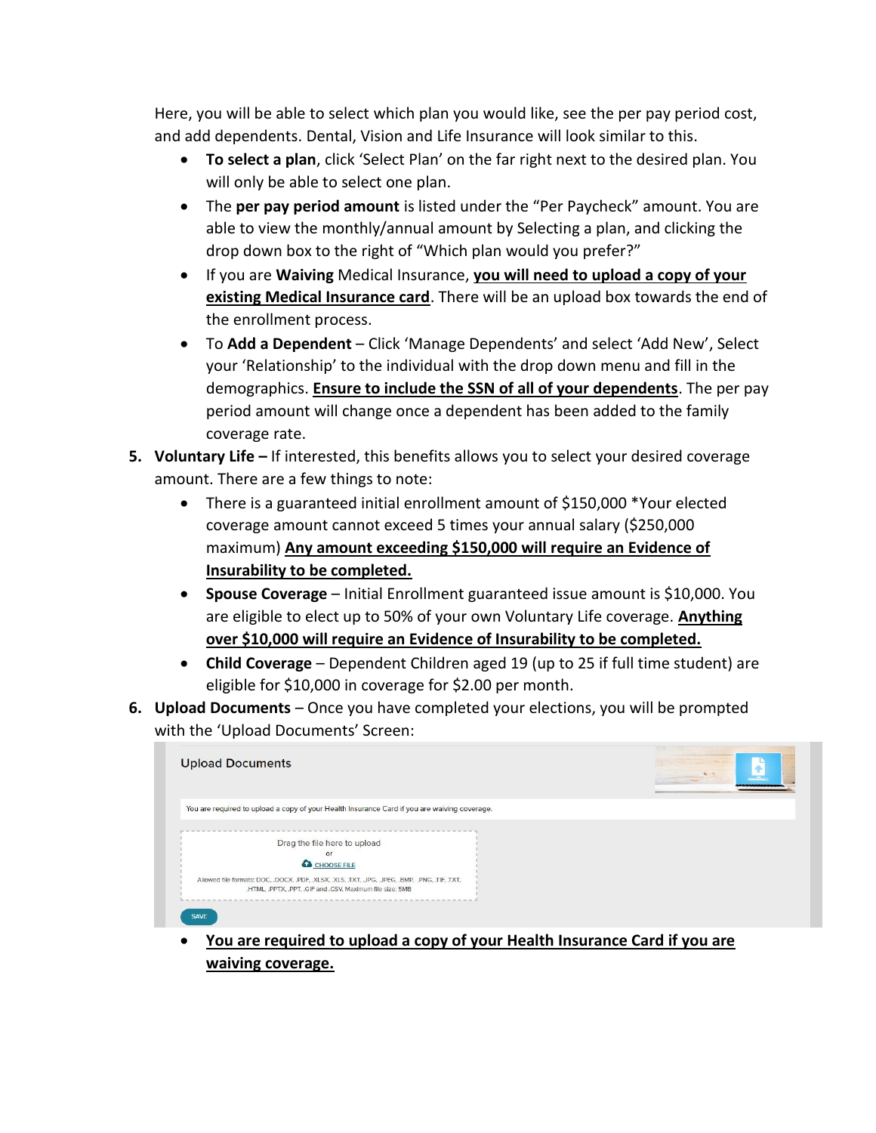Here, you will be able to select which plan you would like, see the per pay period cost, and add dependents. Dental, Vision and Life Insurance will look similar to this.

- **To select a plan**, click 'Select Plan' on the far right next to the desired plan. You will only be able to select one plan.
- The **per pay period amount** is listed under the "Per Paycheck" amount. You are able to view the monthly/annual amount by Selecting a plan, and clicking the drop down box to the right of "Which plan would you prefer?"
- If you are **Waiving** Medical Insurance, **you will need to upload a copy of your existing Medical Insurance card**. There will be an upload box towards the end of the enrollment process.
- To **Add a Dependent**  Click 'Manage Dependents' and select 'Add New', Select your 'Relationship' to the individual with the drop down menu and fill in the demographics. **Ensure to include the SSN of all of your dependents**. The per pay period amount will change once a dependent has been added to the family coverage rate.
- **5. Voluntary Life –** If interested, this benefits allows you to select your desired coverage amount. There are a few things to note:
	- There is a guaranteed initial enrollment amount of \$150,000 \*Your elected coverage amount cannot exceed 5 times your annual salary (\$250,000 maximum) **Any amount exceeding \$150,000 will require an Evidence of Insurability to be completed.**
	- **Spouse Coverage** Initial Enrollment guaranteed issue amount is \$10,000. You are eligible to elect up to 50% of your own Voluntary Life coverage. **Anything over \$10,000 will require an Evidence of Insurability to be completed.**
	- **Child Coverage** Dependent Children aged 19 (up to 25 if full time student) are eligible for \$10,000 in coverage for \$2.00 per month.
- **6. Upload Documents**  Once you have completed your elections, you will be prompted with the 'Upload Documents' Screen:

| <b>Upload Documents</b>                                                                                                                                      |  |
|--------------------------------------------------------------------------------------------------------------------------------------------------------------|--|
| You are required to upload a copy of your Health Insurance Card if you are waiving coverage.                                                                 |  |
| Drag the file here to upload<br>$\alpha$<br>CHOOSE FILE                                                                                                      |  |
| Allowed file formats: DOC, .DOCX, .PDF, .XLSX, .XLS, .TXT, .JPG, .JPEG, .BMP, .PNG, .TIF, .TXT,<br>.HTML, .PPTX, .PPT, .GIF and .CSV. Maximum file size: 5MB |  |

 **You are required to upload a copy of your Health Insurance Card if you are waiving coverage.**